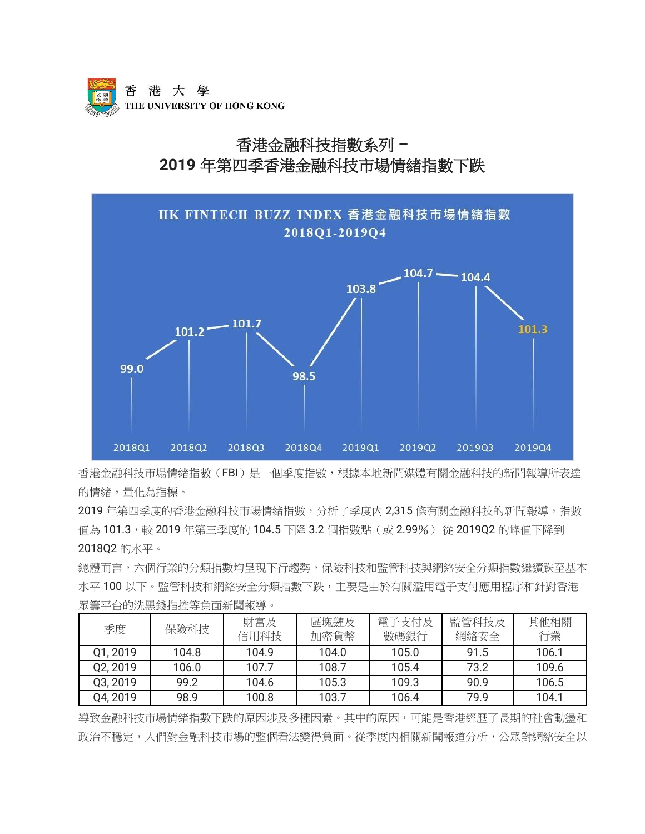

# 香港金融科技指數系列 **– 2019** 年第四季香港金融科技市場情緒指數下跌



香港金融科技市場情緒指數(FBI)是一個季度指數,根據本地新聞媒體有關金融科技的新聞報導所表達 的情緒,量化為指標。

2019 年第四季度的香港金融科技市場情緒指數,分析了季度内 2,315 條有關金融科技的新聞報導,指數 值為 101.3,較 2019 年第三季度的 104.5 下降 3.2 個指數點 (或 2.99%) 從 2019Q2 的峰值下降到 2018Q2 的水平。

總體而言,六個行業的分類指數均呈現下行趨勢,保險科技和監管科技與網絡安全分類指數繼續跌至基本 水平100以下。監管科技和網絡安全分類指數下跌,主要是由於有關濫用電子支付應用程序和針對香港 眾籌平台的洗黑錢指控等負面新聞報導。

| 季度       | 保險科技  | 財富及<br>信用科技 | 區塊鏈及<br>加密貨幣 | 電子支付及<br>數碼銀行 | 監管科技及<br>網絡安全 | 其他相關<br>行業 |
|----------|-------|-------------|--------------|---------------|---------------|------------|
| Q1, 2019 | 104.8 | 104.9       | 104.0        | 105.0         | 91.5          | 106.1      |
| Q2, 2019 | 106.0 | 107.7       | 108.7        | 105.4         | 73.2          | 109.6      |
| Q3, 2019 | 99.2  | 104.6       | 105.3        | 109.3         | 90.9          | 106.5      |
| Q4, 2019 | 98.9  | 100.8       | 103.7        | 106.4         | 79.9          | 104.1      |

導致金融科技市場情緒指數下跌的原因涉及多種因素。其中的原因,可能是香港經歷了長期的社會動盪和 政治不穩定,人們對金融科技市場的整個看法變得負面。從季度内相關新聞報道分析,公眾對網絡安全以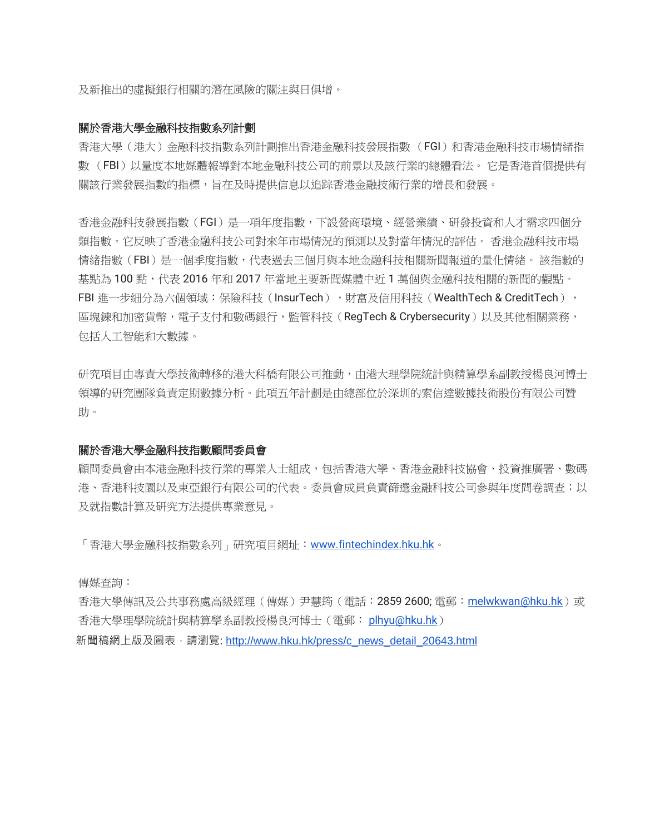及新推出的虛擬銀行相關的潛在風險的關注與日俱增。

## 關於香港大學金融科技指數系列計劃

香港大學(港大)金融科技指數系列計劃推出香港金融科技發展指數 (FGI)和香港金融科技市場情緒指 數 (FBI)以量度本地媒體報導對本地金融科技公司的前景以及該行業的總體看法。 它是香港首個提供有 關該行業發展指數的指標,旨在及時提供信息以追踪香港金融技術行業的增長和發展。

香港金融科技發展指數(FGI)是一項年度指數,下設營商環境、經營業績、研發投資和人才需求四個分 類指數。它反映了香港金融科技公司對來年市場情況的預測以及對當年情況的評估。 香港金融科技市場 情緒指數(FBI)是一個季度指數,代表過去三個月與本地金融科技相關新聞報道的量化情緒。 該指數的 基點為 100 點,代表 2016 年和 2017 年當地主要新聞媒體中折 1 萬個與金融科技相關的新聞的觀點。 FBI 進一步細分為六個領域:保險科技(InsurTech), 財富及信用科技(WealthTech & CreditTech), 區塊鍊和加密貨幣,電子支付和數碼銀行,監管科技(RegTech & Crybersecurity)以及其他相關業務, 包括人工智能和大數據。

研究項目由專責大學技術轉移的港大科橋有限公司推動,由港大理學院統計與精算學系副教授楊良河博士 領導的研究團隊負責定期數據分析。此項五年計劃是由總部位於深圳的索信達數據技術股份有限公司贊 助。

#### 關於香港大學金融科技指數顧問委員會

顧問委員會由本港金融科技行業的專業人士組成,包括香港大學、香港金融科技協會、投資推廣署、數碼 港、香港科技園以及東亞銀行有限公司的代表。委員會成員負責篩選金融科技公司參與年度問卷調查;以 及就指數計算及研究方法提供專業意見。

「香港大學金融科技指數系列」研究項目網址:[www.fintechindex.hku.hk](http://www.fintechindex.hku.hk/)。

傳媒查詢:

香港大學傳訊及公共事務處高級經理 ( 傳媒 ) 尹慧筠 ( 電話:2859 2600; 電郵:[melwkwan@hku.hk](mailto:melwkwan@hku.hk) ) 或 香港大學理學院統計與精算學系副教授楊良河博士(電郵: [plhyu@hku.hk](mailto:plhyu@hku.hk)) 新聞稿網上版及圖表,請瀏覽: [http://www.hku.hk/press/c\\_news\\_detail\\_20643.html](http://www.hku.hk/press/c_news_detail_20643.html)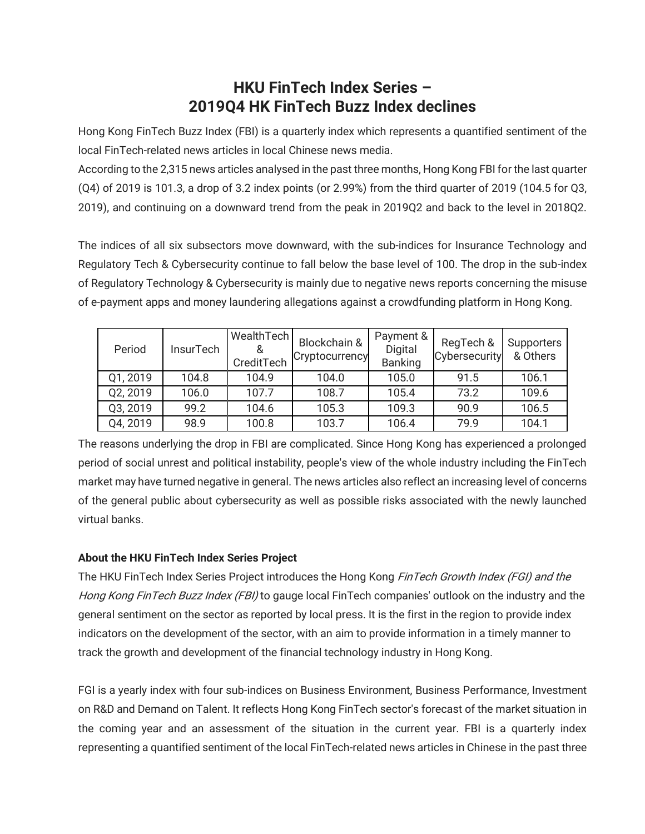# **HKU FinTech Index Series – 2019Q4 HK FinTech Buzz Index declines**

Hong Kong FinTech Buzz Index (FBI) is a quarterly index which represents a quantified sentiment of the local FinTech-related news articles in local Chinese news media.

According to the 2,315 news articles analysed in the past three months, Hong Kong FBI for the last quarter (Q4) of 2019 is 101.3, a drop of 3.2 index points (or 2.99%) from the third quarter of 2019 (104.5 for Q3, 2019), and continuing on a downward trend from the peak in 2019Q2 and back to the level in 2018Q2.

The indices of all six subsectors move downward, with the sub-indices for Insurance Technology and Regulatory Tech & Cybersecurity continue to fall below the base level of 100. The drop in the sub-index of Regulatory Technology & Cybersecurity is mainly due to negative news reports concerning the misuse of e-payment apps and money laundering allegations against a crowdfunding platform in Hong Kong.

| Period   | <b>InsurTech</b> | WealthTech<br>CreditTech | Blockchain &<br>Cryptocurrency | Payment &<br>Digital<br><b>Banking</b> | RegTech &<br>Cybersecurity | <b>Supporters</b><br>& Others |
|----------|------------------|--------------------------|--------------------------------|----------------------------------------|----------------------------|-------------------------------|
| Q1, 2019 | 104.8            | 104.9                    | 104.0                          | 105.0                                  | 91.5                       | 106.1                         |
| Q2, 2019 | 106.0            | 107.7                    | 108.7                          | 105.4                                  | 73.2                       | 109.6                         |
| Q3, 2019 | 99.2             | 104.6                    | 105.3                          | 109.3                                  | 90.9                       | 106.5                         |
| Q4, 2019 | 98.9             | 100.8                    | 103.7                          | 106.4                                  | 79.9                       | 104.1                         |

The reasons underlying the drop in FBI are complicated. Since Hong Kong has experienced a prolonged period of social unrest and political instability, people's view of the whole industry including the FinTech market may have turned negative in general. The news articles also reflect an increasing level of concerns of the general public about cybersecurity as well as possible risks associated with the newly launched virtual banks.

# **About the HKU FinTech Index Series Project**

The HKU FinTech Index Series Project introduces the Hong Kong FinTech Growth Index (FGI) and the Hong Kong FinTech Buzz Index (FBI) to gauge local FinTech companies' outlook on the industry and the general sentiment on the sector as reported by local press. It is the first in the region to provide index indicators on the development of the sector, with an aim to provide information in a timely manner to track the growth and development of the financial technology industry in Hong Kong.

FGI is a yearly index with four sub-indices on Business Environment, Business Performance, Investment on R&D and Demand on Talent. It reflects Hong Kong FinTech sector's forecast of the market situation in the coming year and an assessment of the situation in the current year. FBI is a quarterly index representing a quantified sentiment of the local FinTech-related news articles in Chinese in the past three